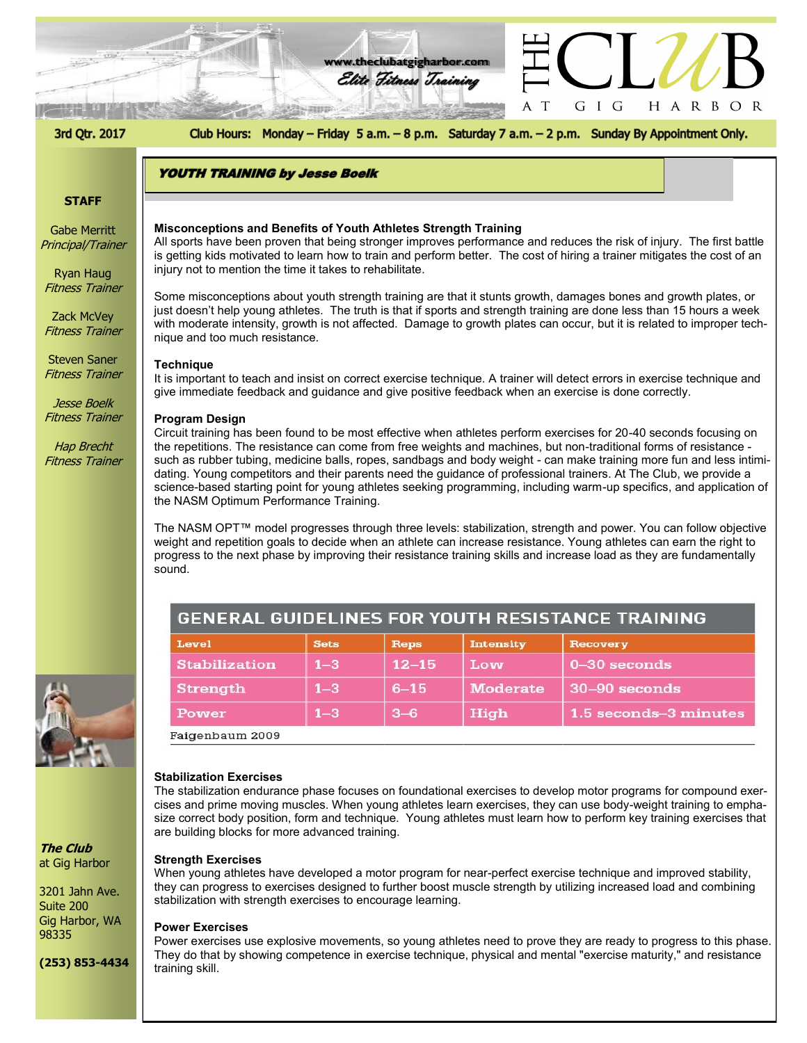

# **STAFF**

Gabe Merritt Principal/Trainer

Ryan Haug Fitness Trainer

Zack McVey Fitness Trainer

Steven Saner Fitness Trainer

Jesse Boelk Fitness Trainer

Hap Brecht Fitness Trainer



**The Club** at Gig Harbor

3201 Jahn Ave. Suite 200 Gig Harbor, WA 98335

**(253) 853-4434**

#### **Misconceptions and Benefits of Youth Athletes Strength Training**

is getting kids motivated to learn how to train and perform better. The cost of hiring a trainer mitigates the cost of an All sports have been proven that being stronger improves performance and reduces the risk of injury. The first battle injury not to mention the time it takes to rehabilitate.

Some misconceptions about youth strength training are that it stunts growth, damages bones and growth plates, or just doesn't help young athletes. The truth is that if sports and strength training are done less than 15 hours a week with moderate intensity, growth is not affected. Damage to growth plates can occur, but it is related to improper technique and too much resistance.

#### **Technique**

It is important to teach and insist on correct exercise technique. A trainer will detect errors in exercise technique and give immediate feedback and guidance and give positive feedback when an exercise is done correctly.

#### **Program Design**

Circuit training has been found to be most effective when athletes perform exercises for 20-40 seconds focusing on the repetitions. The resistance can come from free weights and machines, but non-traditional forms of resistance such as rubber tubing, medicine balls, ropes, sandbags and body weight - can make training more fun and less intimidating. Young competitors and their parents need the guidance of professional trainers. At The Club, we provide a science-based starting point for young athletes seeking programming, including warm-up specifics, and application of the NASM Optimum Performance Training.

The NASM OPT™ model progresses through three levels: stabilization, strength and power. You can follow objective weight and repetition goals to decide when an athlete can increase resistance. Young athletes can earn the right to progress to the next phase by improving their resistance training skills and increase load as they are fundamentally sound.

| GENERAL GUIDELINES FOR YOUTH RESISTANCE TRAINING |             |           |                  |                       |
|--------------------------------------------------|-------------|-----------|------------------|-----------------------|
| Level                                            | <b>Sets</b> | Reps      | <b>Intensity</b> | Recovery              |
| <b>Stabilization</b>                             | $1 - 3$     | $12 - 15$ | Low              | $0 - 30$ seconds      |
| <b>Strength</b>                                  | $1 - 3$     | $6 - 15$  | <b>Moderate</b>  | $30-90$ seconds       |
| Power                                            | $1 - 3$     | $3 - 6$   | High             | 1.5 seconds-3 minutes |

Faigenbaum 2009

#### **Stabilization Exercises**

The stabilization endurance phase focuses on foundational exercises to develop motor programs for compound exercises and prime moving muscles. When young athletes learn exercises, they can use body-weight training to emphasize correct body position, form and technique. Young athletes must learn how to perform key training exercises that are building blocks for more advanced training.

#### **Strength Exercises**

When young athletes have developed a motor program for near-perfect exercise technique and improved stability, they can progress to exercises designed to further boost muscle strength by utilizing increased load and combining stabilization with strength exercises to encourage learning.

#### **Power Exercises**

Power exercises use explosive movements, so young athletes need to prove they are ready to progress to this phase. They do that by showing competence in exercise technique, physical and mental "exercise maturity," and resistance training skill.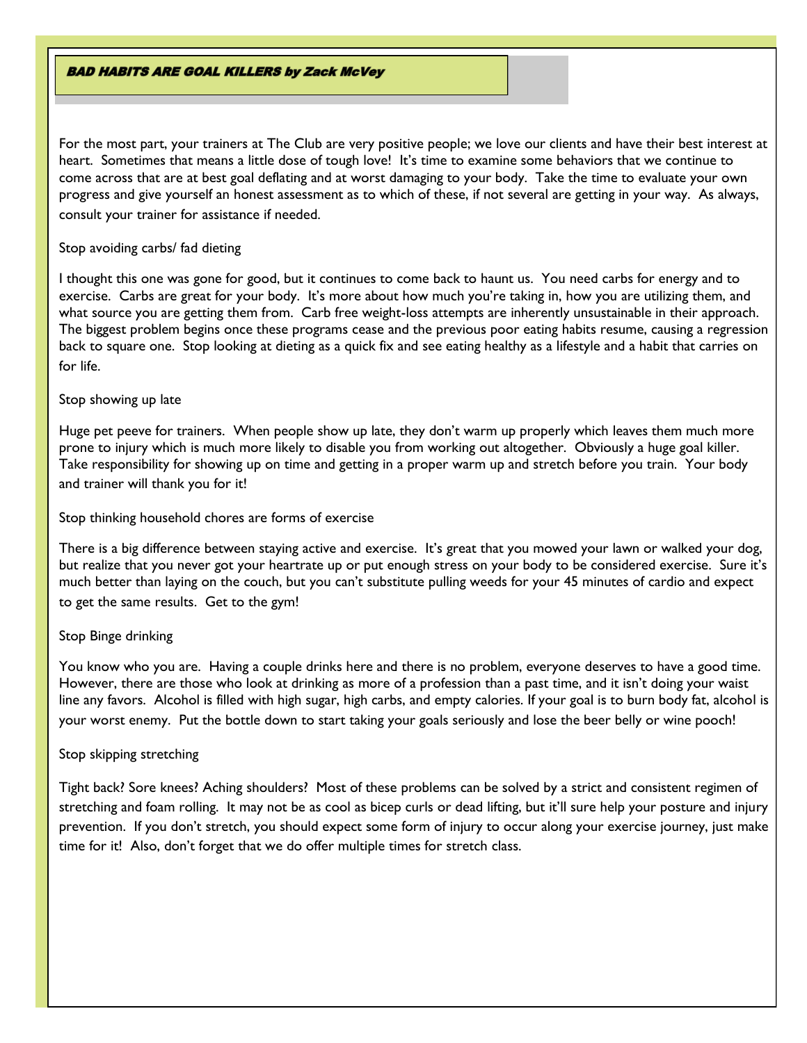**BAD HABITS ARE GOAL KILLERS by Zack McVey** 

For the most part, your trainers at The Club are very positive people; we love our clients and have their best interest at heart. Sometimes that means a little dose of tough love! It's time to examine some behaviors that we continue to come across that are at best goal deflating and at worst damaging to your body. Take the time to evaluate your own progress and give yourself an honest assessment as to which of these, if not several are getting in your way. As always, consult your trainer for assistance if needed.

### Stop avoiding carbs/ fad dieting

I thought this one was gone for good, but it continues to come back to haunt us. You need carbs for energy and to exercise. Carbs are great for your body. It's more about how much you're taking in, how you are utilizing them, and what source you are getting them from. Carb free weight-loss attempts are inherently unsustainable in their approach. The biggest problem begins once these programs cease and the previous poor eating habits resume, causing a regression back to square one. Stop looking at dieting as a quick fix and see eating healthy as a lifestyle and a habit that carries on for life.

# Stop showing up late

Huge pet peeve for trainers. When people show up late, they don't warm up properly which leaves them much more prone to injury which is much more likely to disable you from working out altogether. Obviously a huge goal killer. Take responsibility for showing up on time and getting in a proper warm up and stretch before you train. Your body and trainer will thank you for it!

Stop thinking household chores are forms of exercise

There is a big difference between staying active and exercise. It's great that you mowed your lawn or walked your dog, but realize that you never got your heartrate up or put enough stress on your body to be considered exercise. Sure it's much better than laying on the couch, but you can't substitute pulling weeds for your 45 minutes of cardio and expect to get the same results. Get to the gym!

# Stop Binge drinking

You know who you are. Having a couple drinks here and there is no problem, everyone deserves to have a good time. However, there are those who look at drinking as more of a profession than a past time, and it isn't doing your waist line any favors. Alcohol is filled with high sugar, high carbs, and empty calories. If your goal is to burn body fat, alcohol is your worst enemy. Put the bottle down to start taking your goals seriously and lose the beer belly or wine pooch!

# Stop skipping stretching

Tight back? Sore knees? Aching shoulders? Most of these problems can be solved by a strict and consistent regimen of stretching and foam rolling. It may not be as cool as bicep curls or dead lifting, but it'll sure help your posture and injury prevention. If you don't stretch, you should expect some form of injury to occur along your exercise journey, just make time for it! Also, don't forget that we do offer multiple times for stretch class.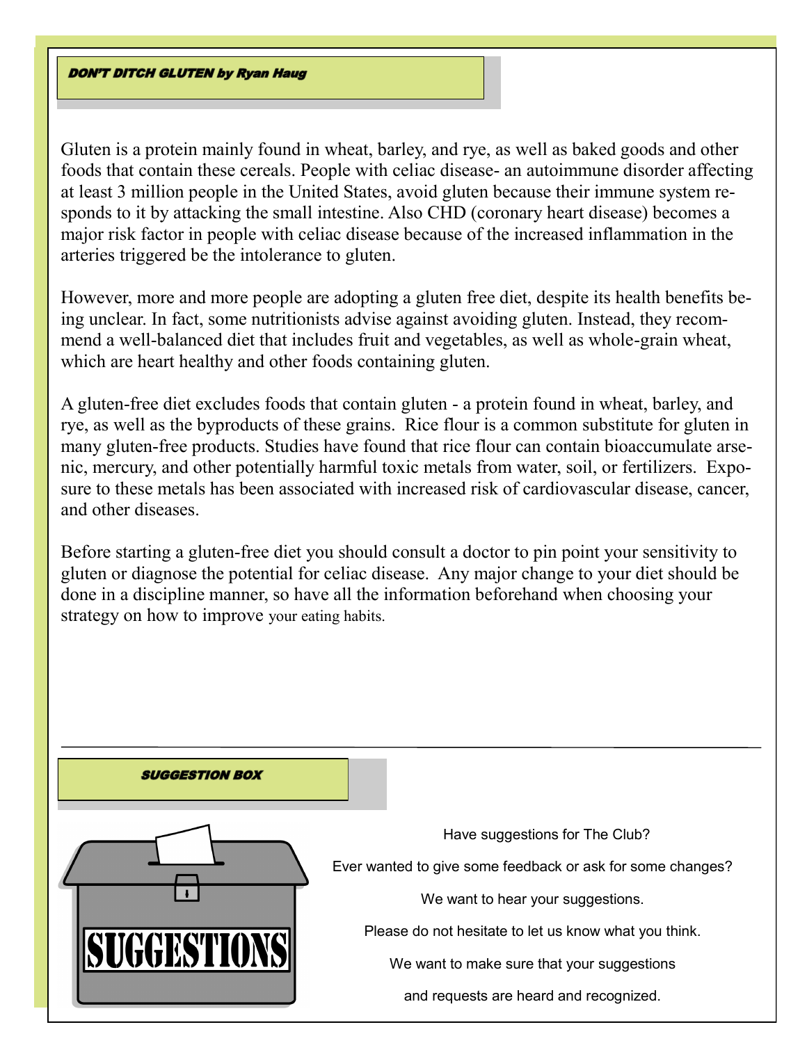**DON'T DITCH GLUTEN by Ryan Haug** 

Gluten is a protein mainly found in wheat, barley, and rye, as well as baked goods and other foods that contain these cereals. People with celiac disease- an autoimmune disorder affecting at least 3 million people in the United States, avoid gluten because their immune system responds to it by attacking the small intestine. Also CHD (coronary heart disease) becomes a major risk factor in people with celiac disease because of the increased inflammation in the arteries triggered be the intolerance to gluten.

However, more and more people are adopting a gluten free diet, despite its health benefits being unclear. In fact, some nutritionists advise against avoiding gluten. Instead, they recommend a well-balanced diet that includes fruit and vegetables, as well as whole-grain wheat, which are heart healthy and other foods containing gluten.

A gluten-free diet excludes foods that contain gluten - a protein found in wheat, barley, and rye, as well as the byproducts of these grains. Rice flour is a common substitute for gluten in many gluten-free products. Studies have found that rice flour can contain bioaccumulate arsenic, mercury, and other potentially harmful toxic metals from water, soil, or fertilizers. Exposure to these metals has been associated with increased risk of cardiovascular disease, cancer, and other diseases.

Before starting a gluten-free diet you should consult a doctor to pin point your sensitivity to gluten or diagnose the potential for celiac disease. Any major change to your diet should be done in a discipline manner, so have all the information beforehand when choosing your strategy on how to improve your eating habits.

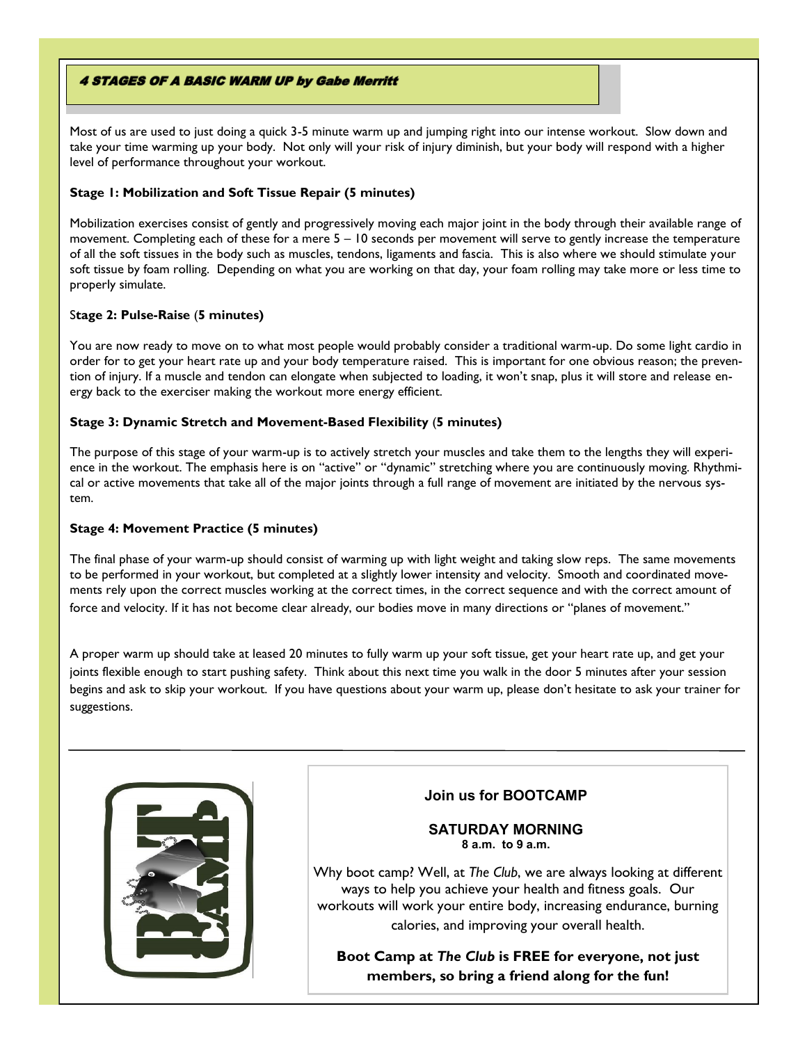### **4 STAGES OF A BASIC WARM UP by Gabe Merritt**

Most of us are used to just doing a quick 3-5 minute warm up and jumping right into our intense workout. Slow down and take your time warming up your body. Not only will your risk of injury diminish, but your body will respond with a higher level of performance throughout your workout.

## **Stage 1: Mobilization and Soft Tissue Repair (5 minutes)**

Mobilization exercises consist of gently and progressively moving each major joint in the body through their available range of movement. Completing each of these for a mere 5 – 10 seconds per movement will serve to gently increase the temperature of all the soft tissues in the body such as muscles, tendons, ligaments and fascia. This is also where we should stimulate your soft tissue by foam rolling. Depending on what you are working on that day, your foam rolling may take more or less time to properly simulate.

### S**tage 2: Pulse-Raise** (**5 minutes)**

You are now ready to move on to what most people would probably consider a traditional warm-up. Do some light cardio in order for to get your heart rate up and your body temperature raised. This is important for one obvious reason; the prevention of injury. If a muscle and tendon can elongate when subjected to loading, it won't snap, plus it will store and release energy back to the exerciser making the workout more energy efficient.

### **Stage 3: Dynamic Stretch and Movement-Based Flexibility** (**5 minutes)**

The purpose of this stage of your warm-up is to actively stretch your muscles and take them to the lengths they will experience in the workout. The emphasis here is on "active" or "dynamic" stretching where you are continuously moving. Rhythmical or active movements that take all of the major joints through a full range of movement are initiated by the nervous system.

## **Stage 4: Movement Practice (5 minutes)**

The final phase of your warm-up should consist of warming up with light weight and taking slow reps. The same movements to be performed in your workout, but completed at a slightly lower intensity and velocity. Smooth and coordinated movements rely upon the correct muscles working at the correct times, in the correct sequence and with the correct amount of force and velocity. If it has not become clear already, our bodies move in many directions or "planes of movement."

A proper warm up should take at leased 20 minutes to fully warm up your soft tissue, get your heart rate up, and get your joints flexible enough to start pushing safety. Think about this next time you walk in the door 5 minutes after your session begins and ask to skip your workout. If you have questions about your warm up, please don't hesitate to ask your trainer for suggestions.



# **Join us for BOOTCAMP**

### **SATURDAY MORNING 8 a.m. to 9 a.m.**

Why boot camp? Well, at *The Club*, we are always looking at different ways to help you achieve your health and fitness goals. Our workouts will work your entire body, increasing endurance, burning calories, and improving your overall health.

**Boot Camp at** *The Club* **is FREE for everyone, not just members, so bring a friend along for the fun!**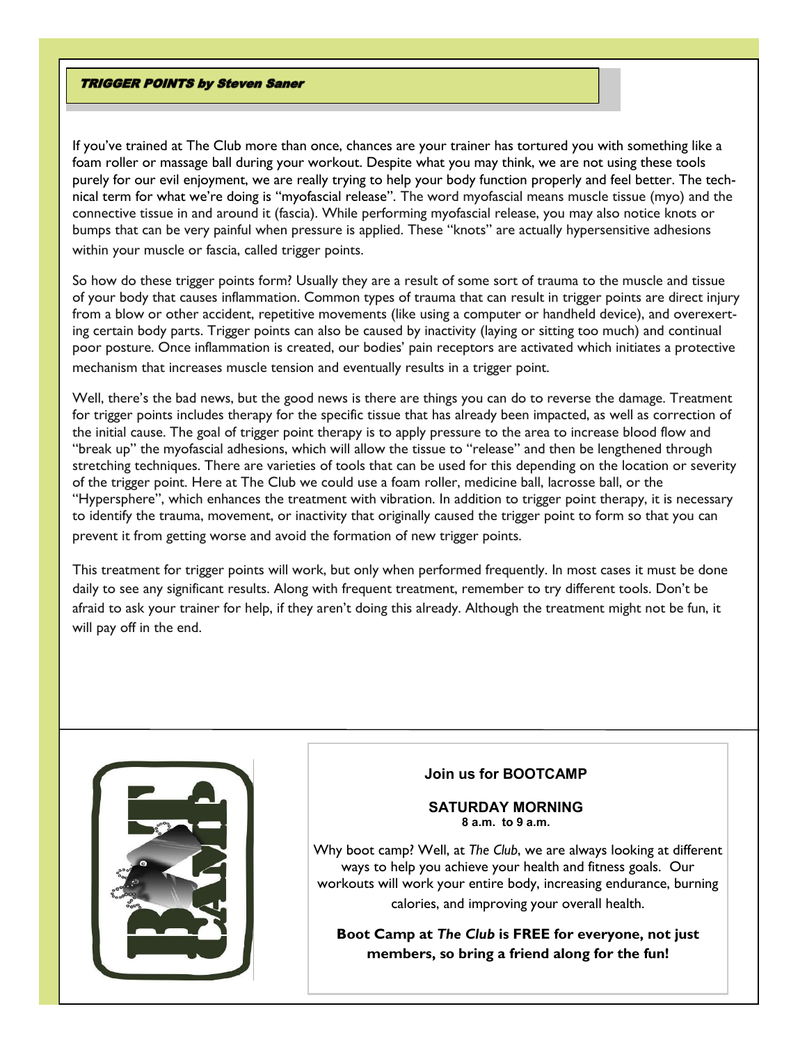#### **TRIGGER POINTS by Steven Saner**

If you've trained at The Club more than once, chances are your trainer has tortured you with something like a foam roller or massage ball during your workout. Despite what you may think, we are not using these tools purely for our evil enjoyment, we are really trying to help your body function properly and feel better. The technical term for what we're doing is "myofascial release". The word myofascial means muscle tissue (myo) and the connective tissue in and around it (fascia). While performing myofascial release, you may also notice knots or bumps that can be very painful when pressure is applied. These "knots" are actually hypersensitive adhesions within your muscle or fascia, called trigger points.

So how do these trigger points form? Usually they are a result of some sort of trauma to the muscle and tissue of your body that causes inflammation. Common types of trauma that can result in trigger points are direct injury from a blow or other accident, repetitive movements (like using a computer or handheld device), and overexerting certain body parts. Trigger points can also be caused by inactivity (laying or sitting too much) and continual poor posture. Once inflammation is created, our bodies' pain receptors are activated which initiates a protective mechanism that increases muscle tension and eventually results in a trigger point.

Well, there's the bad news, but the good news is there are things you can do to reverse the damage. Treatment for trigger points includes therapy for the specific tissue that has already been impacted, as well as correction of the initial cause. The goal of trigger point therapy is to apply pressure to the area to increase blood flow and "break up" the myofascial adhesions, which will allow the tissue to "release" and then be lengthened through stretching techniques. There are varieties of tools that can be used for this depending on the location or severity of the trigger point. Here at The Club we could use a foam roller, medicine ball, lacrosse ball, or the "Hypersphere", which enhances the treatment with vibration. In addition to trigger point therapy, it is necessary to identify the trauma, movement, or inactivity that originally caused the trigger point to form so that you can prevent it from getting worse and avoid the formation of new trigger points.

This treatment for trigger points will work, but only when performed frequently. In most cases it must be done daily to see any significant results. Along with frequent treatment, remember to try different tools. Don't be afraid to ask your trainer for help, if they aren't doing this already. Although the treatment might not be fun, it will pay off in the end.



# **Join us for BOOTCAMP**

#### **SATURDAY MORNING 8 a.m. to 9 a.m.**

Why boot camp? Well, at *The Club*, we are always looking at different ways to help you achieve your health and fitness goals. Our workouts will work your entire body, increasing endurance, burning calories, and improving your overall health.

**Boot Camp at** *The Club* **is FREE for everyone, not just members, so bring a friend along for the fun!**